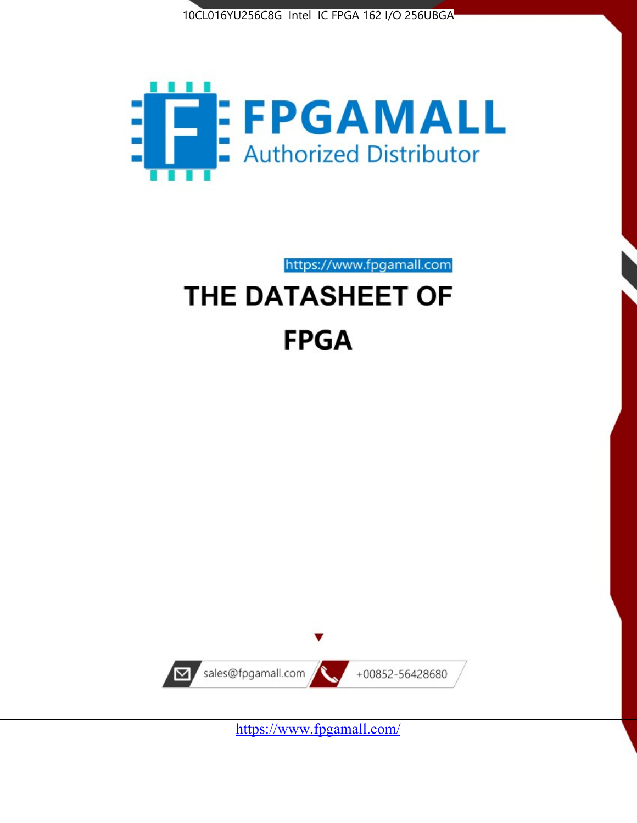



# https://www.fpgamall.com THE DATASHEET OF **FPGA**



https://www.fpgamall.com/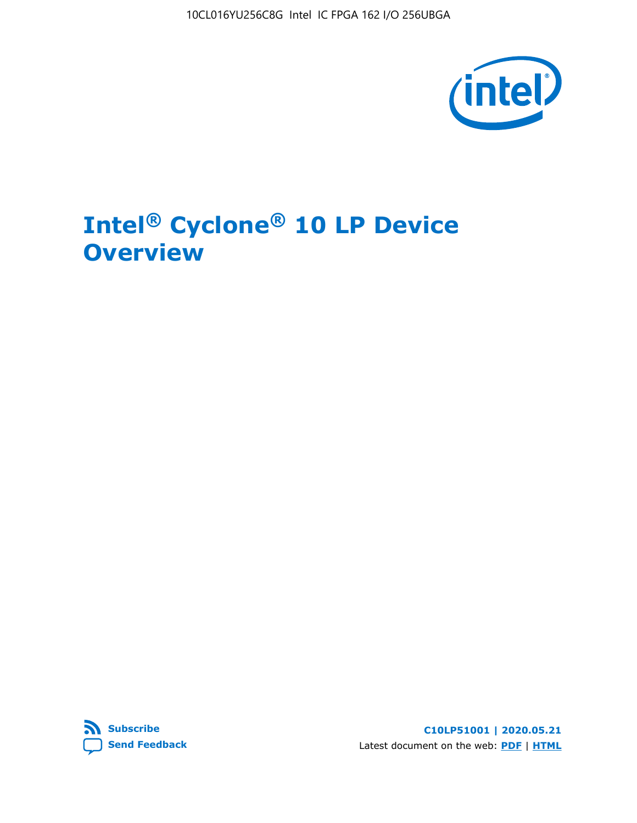10CL016YU256C8G Intel IC FPGA 162 I/O 256UBGA



# **Intel® Cyclone® 10 LP Device Overview**



**C10LP51001 | 2020.05.21** Latest document on the web: **[PDF](https://www.intel.com/content/dam/www/programmable/us/en/pdfs/literature/hb/cyclone-10/c10lp-51001.pdf)** | **[HTML](https://www.intel.com/content/www/us/en/programmable/documentation/hci1490246873896.html)**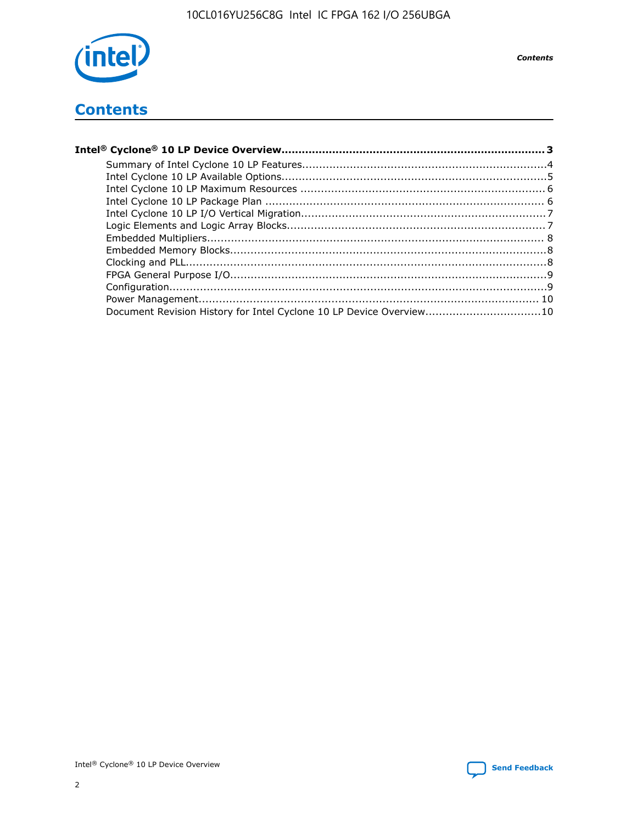

**Contents** 

## **Contents**

| Document Revision History for Intel Cyclone 10 LP Device Overview10 |  |
|---------------------------------------------------------------------|--|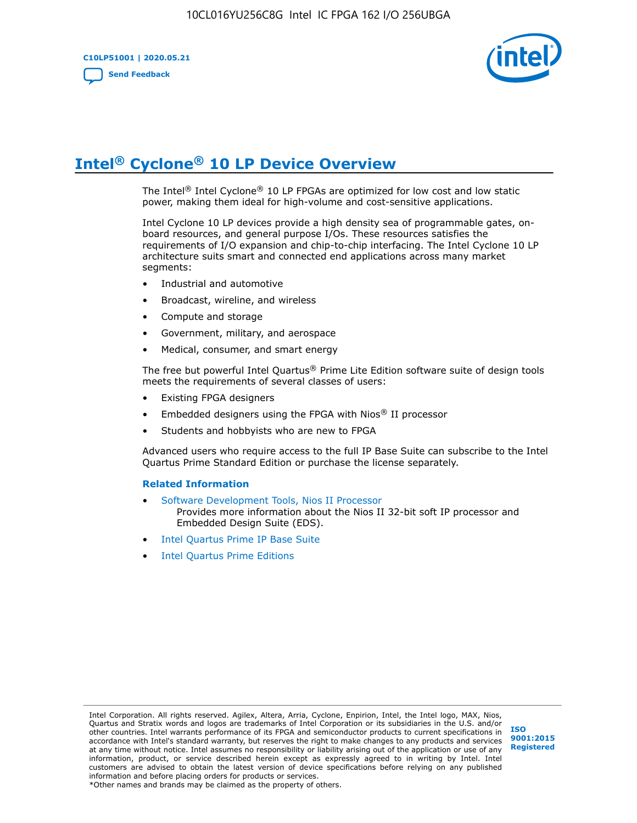**C10LP51001 | 2020.05.21 [Send Feedback](mailto:FPGAtechdocfeedback@intel.com?subject=Feedback%20on%20Intel%20Cyclone%2010%20LP%20Device%20Overview%20(C10LP51001%202020.05.21)&body=We%20appreciate%20your%20feedback.%20In%20your%20comments,%20also%20specify%20the%20page%20number%20or%20paragraph.%20Thank%20you.)**



# **Intel® Cyclone® 10 LP Device Overview**

The Intel® Intel Cyclone® 10 LP FPGAs are optimized for low cost and low static power, making them ideal for high-volume and cost-sensitive applications.

Intel Cyclone 10 LP devices provide a high density sea of programmable gates, onboard resources, and general purpose I/Os. These resources satisfies the requirements of I/O expansion and chip-to-chip interfacing. The Intel Cyclone 10 LP architecture suits smart and connected end applications across many market segments:

- Industrial and automotive
- Broadcast, wireline, and wireless
- Compute and storage
- Government, military, and aerospace
- Medical, consumer, and smart energy

The free but powerful Intel Quartus® Prime Lite Edition software suite of design tools meets the requirements of several classes of users:

- Existing FPGA designers
- Embedded designers using the FPGA with Nios® II processor
- Students and hobbyists who are new to FPGA

Advanced users who require access to the full IP Base Suite can subscribe to the Intel Quartus Prime Standard Edition or purchase the license separately.

#### **Related Information**

- [Software Development Tools, Nios II Processor](https://www.altera.com/products/processors/design-tools.html) Provides more information about the Nios II 32-bit soft IP processor and Embedded Design Suite (EDS).
- [Intel Quartus Prime IP Base Suite](https://www.altera.com/products/intellectual-property/design/ip-base-suite.html)
- **[Intel Quartus Prime Editions](https://www.altera.com/products/design-software/fpga-design/quartus-prime/download.html)**

Intel Corporation. All rights reserved. Agilex, Altera, Arria, Cyclone, Enpirion, Intel, the Intel logo, MAX, Nios, Quartus and Stratix words and logos are trademarks of Intel Corporation or its subsidiaries in the U.S. and/or other countries. Intel warrants performance of its FPGA and semiconductor products to current specifications in accordance with Intel's standard warranty, but reserves the right to make changes to any products and services at any time without notice. Intel assumes no responsibility or liability arising out of the application or use of any information, product, or service described herein except as expressly agreed to in writing by Intel. Intel customers are advised to obtain the latest version of device specifications before relying on any published information and before placing orders for products or services.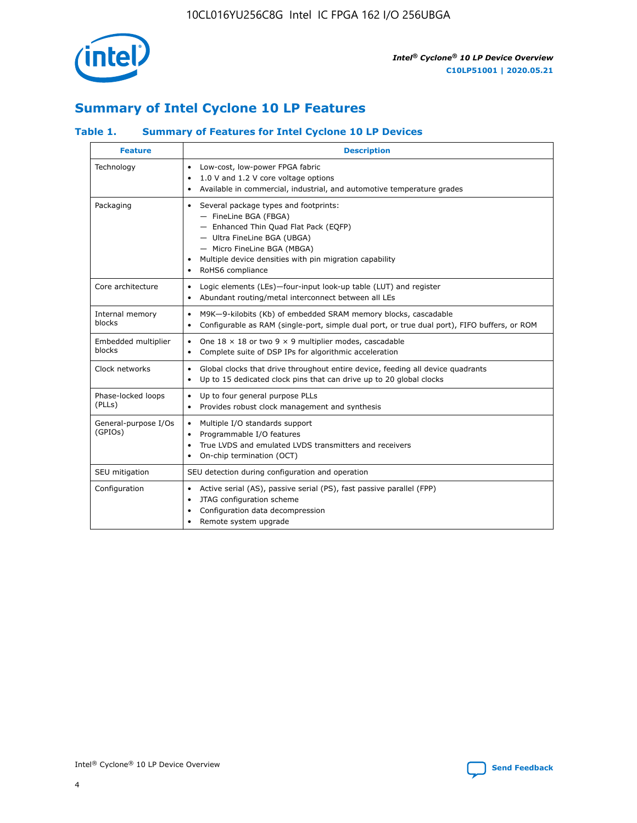

## **Summary of Intel Cyclone 10 LP Features**

## **Table 1. Summary of Features for Intel Cyclone 10 LP Devices**

| <b>Feature</b>                  | <b>Description</b>                                                                                                                                                                                                                                        |
|---------------------------------|-----------------------------------------------------------------------------------------------------------------------------------------------------------------------------------------------------------------------------------------------------------|
| Technology                      | Low-cost, low-power FPGA fabric<br>$\bullet$<br>1.0 V and 1.2 V core voltage options<br>Available in commercial, industrial, and automotive temperature grades                                                                                            |
| Packaging                       | Several package types and footprints:<br>٠<br>- FineLine BGA (FBGA)<br>- Enhanced Thin Quad Flat Pack (EQFP)<br>- Ultra FineLine BGA (UBGA)<br>- Micro FineLine BGA (MBGA)<br>Multiple device densities with pin migration capability<br>RoHS6 compliance |
| Core architecture               | Logic elements (LEs)-four-input look-up table (LUT) and register<br>$\bullet$<br>Abundant routing/metal interconnect between all LEs<br>٠                                                                                                                 |
| Internal memory<br>blocks       | M9K-9-kilobits (Kb) of embedded SRAM memory blocks, cascadable<br>$\bullet$<br>Configurable as RAM (single-port, simple dual port, or true dual port), FIFO buffers, or ROM<br>٠                                                                          |
| Embedded multiplier<br>blocks   | One $18 \times 18$ or two 9 $\times$ 9 multiplier modes, cascadable<br>$\bullet$<br>Complete suite of DSP IPs for algorithmic acceleration<br>$\bullet$                                                                                                   |
| Clock networks                  | Global clocks that drive throughout entire device, feeding all device quadrants<br>٠<br>Up to 15 dedicated clock pins that can drive up to 20 global clocks<br>٠                                                                                          |
| Phase-locked loops<br>(PLLs)    | Up to four general purpose PLLs<br>٠<br>Provides robust clock management and synthesis<br>$\bullet$                                                                                                                                                       |
| General-purpose I/Os<br>(GPIOs) | Multiple I/O standards support<br>$\bullet$<br>Programmable I/O features<br>$\bullet$<br>True LVDS and emulated LVDS transmitters and receivers<br>٠<br>On-chip termination (OCT)<br>٠                                                                    |
| SEU mitigation                  | SEU detection during configuration and operation                                                                                                                                                                                                          |
| Configuration                   | Active serial (AS), passive serial (PS), fast passive parallel (FPP)<br>٠<br>JTAG configuration scheme<br>$\bullet$<br>Configuration data decompression<br>Remote system upgrade<br>٠                                                                     |

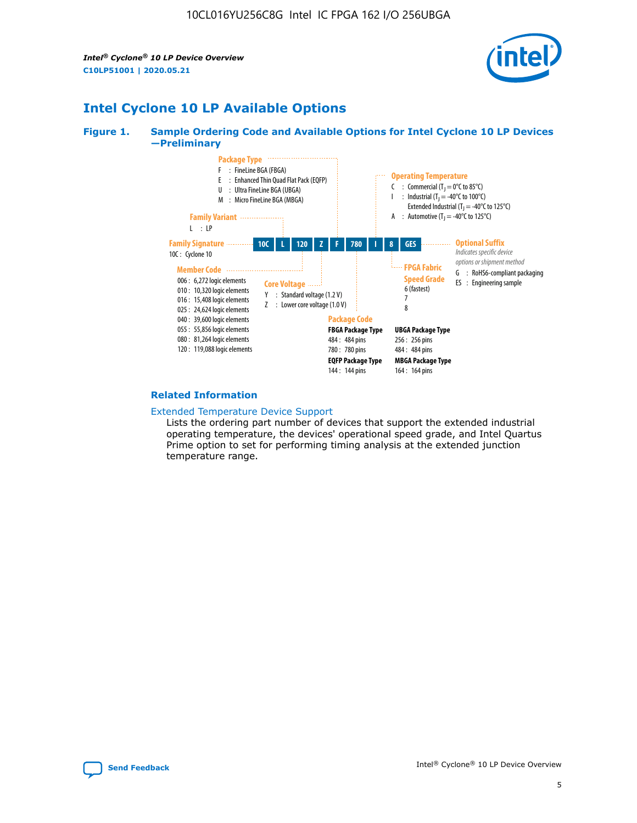*Intel® Cyclone® 10 LP Device Overview* **C10LP51001 | 2020.05.21**



## **Intel Cyclone 10 LP Available Options**

#### **Figure 1. Sample Ordering Code and Available Options for Intel Cyclone 10 LP Devices —Preliminary**



#### **Related Information**

#### [Extended Temperature Device Support](https://www.intel.com/content/www/us/en/products/programmable/temperature.html)

Lists the ordering part number of devices that support the extended industrial operating temperature, the devices' operational speed grade, and Intel Quartus Prime option to set for performing timing analysis at the extended junction temperature range.

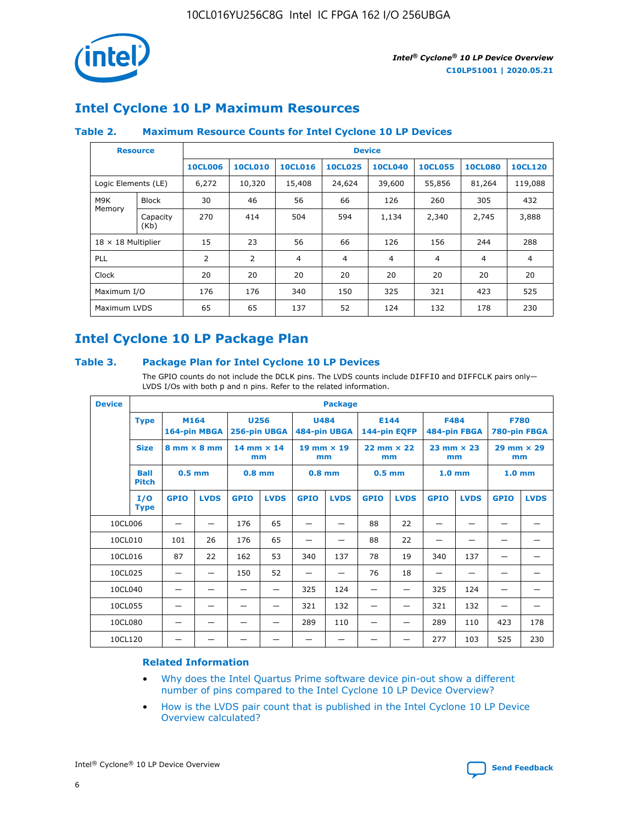

## **Intel Cyclone 10 LP Maximum Resources**

## **Table 2. Maximum Resource Counts for Intel Cyclone 10 LP Devices**

|                           | <b>Resource</b>  | <b>Device</b>  |                |                |                |                |                |                |                |
|---------------------------|------------------|----------------|----------------|----------------|----------------|----------------|----------------|----------------|----------------|
|                           |                  | <b>10CL006</b> | <b>10CL010</b> | <b>10CL016</b> | <b>10CL025</b> | <b>10CL040</b> | <b>10CL055</b> | <b>10CL080</b> | <b>10CL120</b> |
| Logic Elements (LE)       |                  | 6,272          | 10,320         | 15,408         | 24,624         | 39,600         | 55,856         | 81,264         | 119,088        |
| M9K                       | <b>Block</b>     | 30             | 46             | 56             | 66             | 126            | 260            | 305            | 432            |
| Memory                    | Capacity<br>(Kb) | 270            | 414            | 504            | 594            | 1,134          | 2,340          | 2,745          | 3,888          |
| $18 \times 18$ Multiplier |                  | 15             | 23             | 56             | 66             | 126            | 156            | 244            | 288            |
| <b>PLL</b>                |                  | 2              | 2              | 4              | 4              | $\overline{4}$ | 4              | $\overline{4}$ | 4              |
| Clock                     |                  | 20             | 20             | 20             | 20             | 20             | 20             | 20             | 20             |
| Maximum I/O               |                  | 176            | 176            | 340            | 150            | 325            | 321            | 423            | 525            |
| Maximum LVDS              |                  | 65             | 65             | 137            | 52             | 124            | 132            | 178            | 230            |

## **Intel Cyclone 10 LP Package Plan**

#### **Table 3. Package Plan for Intel Cyclone 10 LP Devices**

The GPIO counts do not include the DCLK pins. The LVDS counts include DIFFIO and DIFFCLK pairs only-LVDS I/Os with both p and n pins. Refer to the related information.

| <b>Device</b> |                                                   | <b>Package</b> |                           |                                                            |                           |                      |                           |                             |                           |                             |                           |                   |             |
|---------------|---------------------------------------------------|----------------|---------------------------|------------------------------------------------------------|---------------------------|----------------------|---------------------------|-----------------------------|---------------------------|-----------------------------|---------------------------|-------------------|-------------|
|               | M164<br><b>Type</b><br>164-pin MBGA               |                |                           | <b>U256</b><br><b>U484</b><br>484-pin UBGA<br>256-pin UBGA |                           | E144<br>144-pin EQFP |                           | <b>F484</b><br>484-pin FBGA |                           | <b>F780</b><br>780-pin FBGA |                           |                   |             |
|               | <b>Size</b><br>$8 \text{ mm} \times 8 \text{ mm}$ |                | $14$ mm $\times$ 14<br>mm |                                                            | $19$ mm $\times$ 19<br>mm |                      | $22$ mm $\times$ 22<br>mm |                             | $23$ mm $\times$ 23<br>mm |                             | $29$ mm $\times$ 29<br>mm |                   |             |
|               | <b>Ball</b><br><b>Pitch</b>                       | $0.5$ mm       |                           | $0.8$ mm                                                   |                           | $0.8$ mm             |                           | $0.5$ mm                    |                           | 1.0 <sub>mm</sub>           |                           | 1.0 <sub>mm</sub> |             |
|               | I/O<br><b>Type</b>                                | <b>GPIO</b>    | <b>LVDS</b>               | <b>GPIO</b>                                                | <b>LVDS</b>               | <b>GPIO</b>          | <b>LVDS</b>               | <b>GPIO</b>                 | <b>LVDS</b>               | <b>GPIO</b>                 | <b>LVDS</b>               | <b>GPIO</b>       | <b>LVDS</b> |
| 10CL006       |                                                   |                |                           | 176                                                        | 65                        |                      |                           | 88                          | 22                        |                             |                           |                   |             |
| 10CL010       |                                                   | 101            | 26                        | 176                                                        | 65                        |                      |                           | 88                          | 22                        |                             |                           |                   |             |
| 10CL016       |                                                   | 87             | 22                        | 162                                                        | 53                        | 340                  | 137                       | 78                          | 19                        | 340                         | 137                       |                   |             |
| 10CL025       |                                                   | —              | —                         | 150                                                        | 52                        | —                    |                           | 76                          | 18                        | -                           | —                         |                   |             |
| 10CL040       |                                                   |                |                           |                                                            |                           | 325                  | 124                       |                             |                           | 325                         | 124                       |                   |             |
| 10CL055       |                                                   |                |                           |                                                            |                           | 321                  | 132                       |                             |                           | 321                         | 132                       |                   |             |
| 10CL080       |                                                   |                |                           |                                                            |                           | 289                  | 110                       |                             |                           | 289                         | 110                       | 423               | 178         |
| 10CL120       |                                                   |                |                           |                                                            |                           |                      |                           |                             |                           | 277                         | 103                       | 525               | 230         |

### **Related Information**

- [Why does the Intel Quartus Prime software device pin-out show a different](https://www.intel.com/content/altera-www/global/en_us/index/support/support-resources/knowledge-base/component/2020/why-does-intel--quartus--device-pinout-pin-count-shows-a-differe0.html) [number of pins compared to the Intel Cyclone 10 LP Device Overview?](https://www.intel.com/content/altera-www/global/en_us/index/support/support-resources/knowledge-base/component/2020/why-does-intel--quartus--device-pinout-pin-count-shows-a-differe0.html)
- [How is the LVDS pair count that is published in the Intel Cyclone 10 LP Device](https://www.intel.com/content/altera-www/global/en_us/index/support/support-resources/knowledge-base/component/2020/how-is-the-lvds-pair-count-in-intel--cyclone--10-device-overview.html) [Overview calculated?](https://www.intel.com/content/altera-www/global/en_us/index/support/support-resources/knowledge-base/component/2020/how-is-the-lvds-pair-count-in-intel--cyclone--10-device-overview.html)



Intel<sup>®</sup> Cyclone<sup>®</sup> 10 LP Device Overview **[Send Feedback](mailto:FPGAtechdocfeedback@intel.com?subject=Feedback%20on%20Intel%20Cyclone%2010%20LP%20Device%20Overview%20(C10LP51001%202020.05.21)&body=We%20appreciate%20your%20feedback.%20In%20your%20comments,%20also%20specify%20the%20page%20number%20or%20paragraph.%20Thank%20you.)** Send Feedback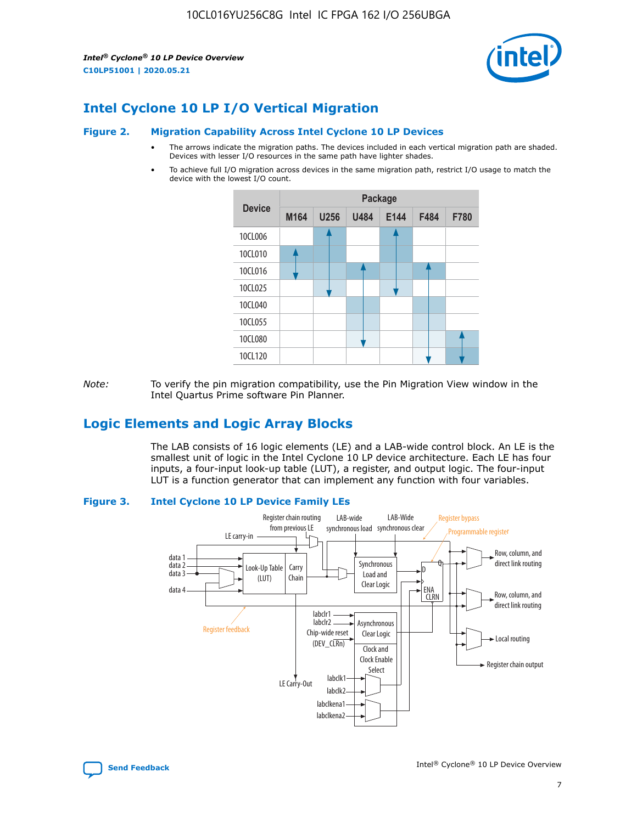*Intel® Cyclone® 10 LP Device Overview* **C10LP51001 | 2020.05.21**



## **Intel Cyclone 10 LP I/O Vertical Migration**

#### **Figure 2. Migration Capability Across Intel Cyclone 10 LP Devices**

- The arrows indicate the migration paths. The devices included in each vertical migration path are shaded. Devices with lesser I/O resources in the same path have lighter shades.
- To achieve full I/O migration across devices in the same migration path, restrict I/O usage to match the device with the lowest I/O count.



*Note:* To verify the pin migration compatibility, use the Pin Migration View window in the Intel Quartus Prime software Pin Planner.

## **Logic Elements and Logic Array Blocks**

The LAB consists of 16 logic elements (LE) and a LAB-wide control block. An LE is the smallest unit of logic in the Intel Cyclone 10 LP device architecture. Each LE has four inputs, a four-input look-up table (LUT), a register, and output logic. The four-input LUT is a function generator that can implement any function with four variables.

#### **Figure 3. Intel Cyclone 10 LP Device Family LEs**



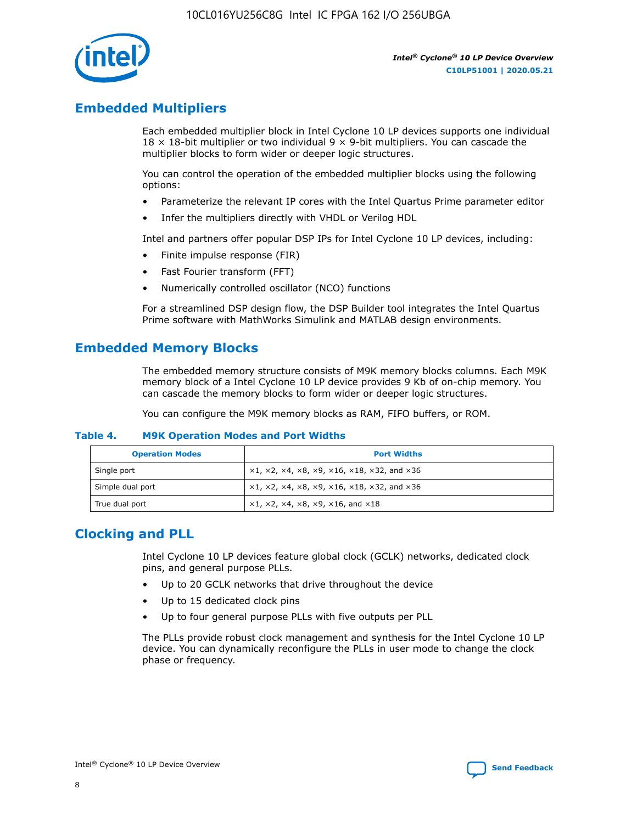

## **Embedded Multipliers**

Each embedded multiplier block in Intel Cyclone 10 LP devices supports one individual  $18 \times 18$ -bit multiplier or two individual 9  $\times$  9-bit multipliers. You can cascade the multiplier blocks to form wider or deeper logic structures.

You can control the operation of the embedded multiplier blocks using the following options:

- Parameterize the relevant IP cores with the Intel Quartus Prime parameter editor
- Infer the multipliers directly with VHDL or Verilog HDL

Intel and partners offer popular DSP IPs for Intel Cyclone 10 LP devices, including:

- Finite impulse response (FIR)
- Fast Fourier transform (FFT)
- Numerically controlled oscillator (NCO) functions

For a streamlined DSP design flow, the DSP Builder tool integrates the Intel Quartus Prime software with MathWorks Simulink and MATLAB design environments.

## **Embedded Memory Blocks**

The embedded memory structure consists of M9K memory blocks columns. Each M9K memory block of a Intel Cyclone 10 LP device provides 9 Kb of on-chip memory. You can cascade the memory blocks to form wider or deeper logic structures.

You can configure the M9K memory blocks as RAM, FIFO buffers, or ROM.

#### **Table 4. M9K Operation Modes and Port Widths**

| <b>Operation Modes</b> | <b>Port Widths</b>                           |
|------------------------|----------------------------------------------|
| Single port            | $x1, x2, x4, x8, x9, x16, x18, x32, and x36$ |
| Simple dual port       | $x1, x2, x4, x8, x9, x16, x18, x32, and x36$ |
| True dual port         | x1, x2, x4, x8, x9, x16, and x18             |

## **Clocking and PLL**

Intel Cyclone 10 LP devices feature global clock (GCLK) networks, dedicated clock pins, and general purpose PLLs.

- Up to 20 GCLK networks that drive throughout the device
- Up to 15 dedicated clock pins
- Up to four general purpose PLLs with five outputs per PLL

The PLLs provide robust clock management and synthesis for the Intel Cyclone 10 LP device. You can dynamically reconfigure the PLLs in user mode to change the clock phase or frequency.

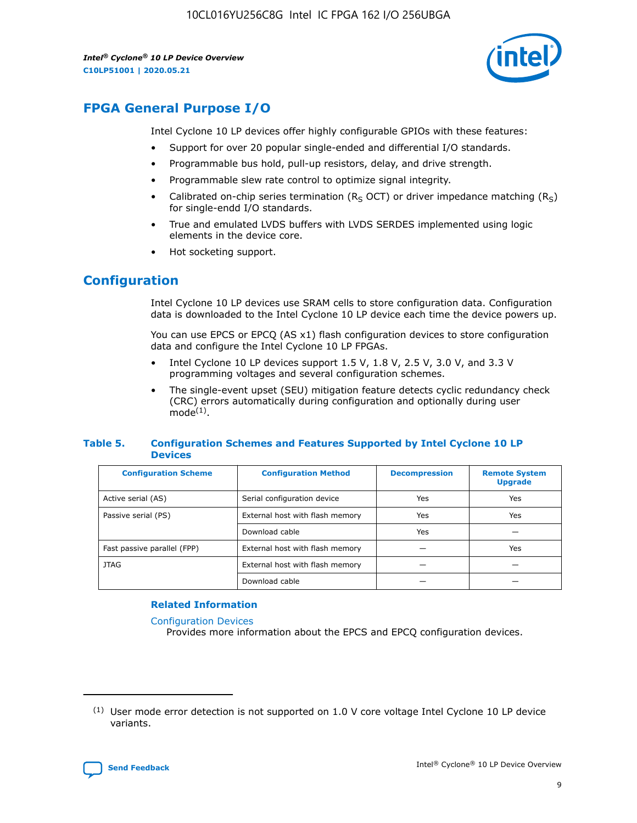*Intel® Cyclone® 10 LP Device Overview* **C10LP51001 | 2020.05.21**



## **FPGA General Purpose I/O**

Intel Cyclone 10 LP devices offer highly configurable GPIOs with these features:

- Support for over 20 popular single-ended and differential I/O standards.
- Programmable bus hold, pull-up resistors, delay, and drive strength.
- Programmable slew rate control to optimize signal integrity.
- Calibrated on-chip series termination ( $R<sub>S</sub>$  OCT) or driver impedance matching ( $R<sub>S</sub>$ ) for single-endd I/O standards.
- True and emulated LVDS buffers with LVDS SERDES implemented using logic elements in the device core.
- Hot socketing support.

## **Configuration**

Intel Cyclone 10 LP devices use SRAM cells to store configuration data. Configuration data is downloaded to the Intel Cyclone 10 LP device each time the device powers up.

You can use EPCS or EPCQ (AS x1) flash configuration devices to store configuration data and configure the Intel Cyclone 10 LP FPGAs.

- Intel Cyclone 10 LP devices support 1.5 V, 1.8 V, 2.5 V, 3.0 V, and 3.3 V programming voltages and several configuration schemes.
- The single-event upset (SEU) mitigation feature detects cyclic redundancy check (CRC) errors automatically during configuration and optionally during user  $mode<sup>(1)</sup>$ .

#### **Table 5. Configuration Schemes and Features Supported by Intel Cyclone 10 LP Devices**

| <b>Configuration Scheme</b> | <b>Configuration Method</b>     | <b>Decompression</b> | <b>Remote System</b><br><b>Upgrade</b> |  |
|-----------------------------|---------------------------------|----------------------|----------------------------------------|--|
| Active serial (AS)          | Serial configuration device     | Yes                  | Yes                                    |  |
| Passive serial (PS)         | External host with flash memory | Yes                  | Yes                                    |  |
|                             | Download cable                  | Yes                  |                                        |  |
| Fast passive parallel (FPP) | External host with flash memory |                      | Yes                                    |  |
| JTAG                        | External host with flash memory |                      |                                        |  |
|                             | Download cable                  |                      |                                        |  |

#### **Related Information**

[Configuration Devices](https://www.altera.com/products/configuration-devices/overview.html)

Provides more information about the EPCS and EPCQ configuration devices.

 $(1)$  User mode error detection is not supported on 1.0 V core voltage Intel Cyclone 10 LP device variants.

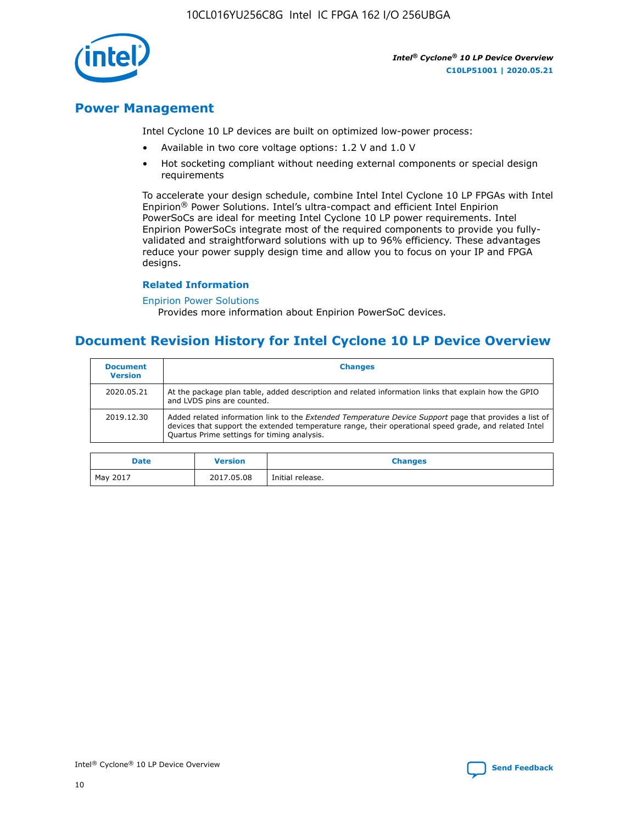

## **Power Management**

Intel Cyclone 10 LP devices are built on optimized low-power process:

- Available in two core voltage options: 1.2 V and 1.0 V
- Hot socketing compliant without needing external components or special design requirements

To accelerate your design schedule, combine Intel Intel Cyclone 10 LP FPGAs with Intel Enpirion® Power Solutions. Intel's ultra-compact and efficient Intel Enpirion PowerSoCs are ideal for meeting Intel Cyclone 10 LP power requirements. Intel Enpirion PowerSoCs integrate most of the required components to provide you fullyvalidated and straightforward solutions with up to 96% efficiency. These advantages reduce your power supply design time and allow you to focus on your IP and FPGA designs.

#### **Related Information**

#### [Enpirion Power Solutions](https://www.altera.com/products/power/devices.html)

Provides more information about Enpirion PowerSoC devices.

## **Document Revision History for Intel Cyclone 10 LP Device Overview**

| <b>Document</b><br><b>Version</b> | <b>Changes</b>                                                                                                                                                                                                                                                        |
|-----------------------------------|-----------------------------------------------------------------------------------------------------------------------------------------------------------------------------------------------------------------------------------------------------------------------|
| 2020.05.21                        | At the package plan table, added description and related information links that explain how the GPIO<br>and LVDS pins are counted.                                                                                                                                    |
| 2019.12.30                        | Added related information link to the <i>Extended Temperature Device Support</i> page that provides a list of<br>devices that support the extended temperature range, their operational speed grade, and related Intel<br>Quartus Prime settings for timing analysis. |

| <b>Date</b> | <b>Version</b> | <b>Changes</b>   |
|-------------|----------------|------------------|
| May 2017    | 2017.05.08     | Initial release. |